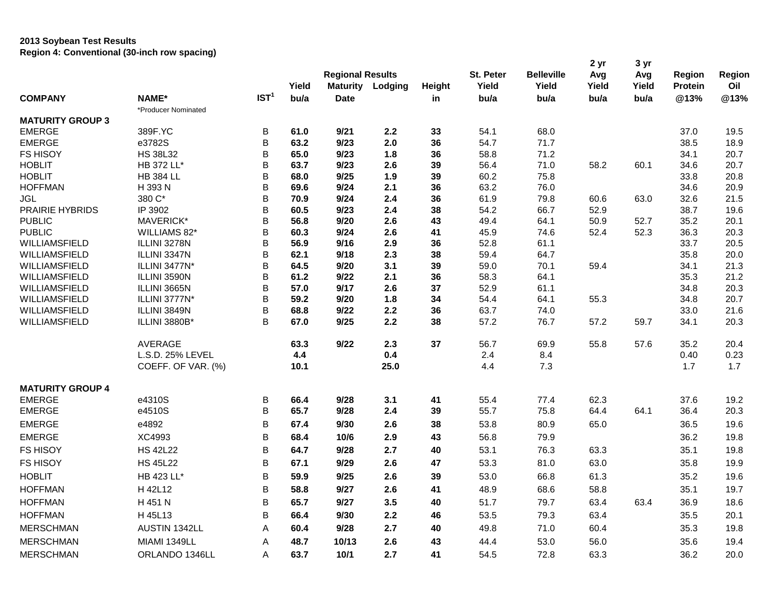## **2013 Soybean Test Results Region 4: Conventional (30-inch row spacing)**

|                         |                     |                  |       |                         |         |        |           |                   | 2 yr  | 3 yr  |         |        |
|-------------------------|---------------------|------------------|-------|-------------------------|---------|--------|-----------|-------------------|-------|-------|---------|--------|
|                         |                     |                  |       | <b>Regional Results</b> |         |        | St. Peter | <b>Belleville</b> | Avg   | Avg   | Region  | Region |
|                         |                     |                  | Yield | <b>Maturity</b>         | Lodging | Height | Yield     | Yield             | Yield | Yield | Protein | Oil    |
| <b>COMPANY</b>          | NAME*               | IST <sup>1</sup> | bu/a  | <b>Date</b>             |         | in     | bu/a      | bu/a              | bu/a  | bu/a  | @13%    | @13%   |
|                         | *Producer Nominated |                  |       |                         |         |        |           |                   |       |       |         |        |
| <b>MATURITY GROUP 3</b> |                     |                  |       |                         |         |        |           |                   |       |       |         |        |
| <b>EMERGE</b>           | 389F.YC             | B                | 61.0  | 9/21                    | 2.2     | 33     | 54.1      | 68.0              |       |       | 37.0    | 19.5   |
| <b>EMERGE</b>           | e3782S              | B                | 63.2  | 9/23                    | 2.0     | 36     | 54.7      | 71.7              |       |       | 38.5    | 18.9   |
| <b>FS HISOY</b>         | <b>HS 38L32</b>     | B                | 65.0  | 9/23                    | 1.8     | 36     | 58.8      | 71.2              |       |       | 34.1    | 20.7   |
| <b>HOBLIT</b>           | HB 372 LL*          | B                | 63.7  | 9/23                    | 2.6     | 39     | 56.4      | 71.0              | 58.2  | 60.1  | 34.6    | 20.7   |
| <b>HOBLIT</b>           | <b>HB 384 LL</b>    | B                | 68.0  | 9/25                    | 1.9     | 39     | 60.2      | 75.8              |       |       | 33.8    | 20.8   |
| <b>HOFFMAN</b>          | H 393 N             | B                | 69.6  | 9/24                    | 2.1     | 36     | 63.2      | 76.0              |       |       | 34.6    | 20.9   |
| <b>JGL</b>              | 380 C*              | B                | 70.9  | 9/24                    | 2.4     | 36     | 61.9      | 79.8              | 60.6  | 63.0  | 32.6    | 21.5   |
| <b>PRAIRIE HYBRIDS</b>  | IP 3902             | B                | 60.5  | 9/23                    | 2.4     | 38     | 54.2      | 66.7              | 52.9  |       | 38.7    | 19.6   |
| <b>PUBLIC</b>           | MAVERICK*           | B                | 56.8  | 9/20                    | 2.6     | 43     | 49.4      | 64.1              | 50.9  | 52.7  | 35.2    | 20.1   |
| <b>PUBLIC</b>           | WILLIAMS 82*        | B                | 60.3  | 9/24                    | 2.6     | 41     | 45.9      | 74.6              | 52.4  | 52.3  | 36.3    | 20.3   |
| WILLIAMSFIELD           | ILLINI 3278N        | B                | 56.9  | 9/16                    | 2.9     | 36     | 52.8      | 61.1              |       |       | 33.7    | 20.5   |
| WILLIAMSFIELD           | ILLINI 3347N        | B                | 62.1  | 9/18                    | 2.3     | 38     | 59.4      | 64.7              |       |       | 35.8    | 20.0   |
| WILLIAMSFIELD           | ILLINI 3477N*       | B                | 64.5  | 9/20                    | 3.1     | 39     | 59.0      | 70.1              | 59.4  |       | 34.1    | 21.3   |
| <b>WILLIAMSFIELD</b>    | ILLINI 3590N        | B                | 61.2  | 9/22                    | 2.1     | 36     | 58.3      | 64.1              |       |       | 35.3    | 21.2   |
| WILLIAMSFIELD           | ILLINI 3665N        | B                | 57.0  | 9/17                    | 2.6     | 37     | 52.9      | 61.1              |       |       | 34.8    | 20.3   |
| WILLIAMSFIELD           | ILLINI 3777N*       | B                | 59.2  | 9/20                    | 1.8     | 34     | 54.4      | 64.1              | 55.3  |       | 34.8    | 20.7   |
| WILLIAMSFIELD           | ILLINI 3849N        | B                | 68.8  | 9/22                    | 2.2     | 36     | 63.7      | 74.0              |       |       | 33.0    | 21.6   |
| WILLIAMSFIELD           | ILLINI 3880B*       | B                | 67.0  | 9/25                    | 2.2     | 38     | 57.2      | 76.7              | 57.2  | 59.7  | 34.1    | 20.3   |
|                         | <b>AVERAGE</b>      |                  | 63.3  | 9/22                    | 2.3     | 37     | 56.7      | 69.9              | 55.8  | 57.6  | 35.2    | 20.4   |
|                         | L.S.D. 25% LEVEL    |                  | 4.4   |                         | 0.4     |        | 2.4       | 8.4               |       |       | 0.40    | 0.23   |
|                         | COEFF. OF VAR. (%)  |                  | 10.1  |                         | 25.0    |        | 4.4       | 7.3               |       |       | 1.7     | 1.7    |
| <b>MATURITY GROUP 4</b> |                     |                  |       |                         |         |        |           |                   |       |       |         |        |
| <b>EMERGE</b>           | e4310S              | B                | 66.4  | 9/28                    | 3.1     | 41     | 55.4      | 77.4              | 62.3  |       | 37.6    | 19.2   |
| <b>EMERGE</b>           | e4510S              | B                | 65.7  | 9/28                    | 2.4     | 39     | 55.7      | 75.8              | 64.4  | 64.1  | 36.4    | 20.3   |
| <b>EMERGE</b>           | e4892               | B                | 67.4  | 9/30                    | 2.6     | 38     | 53.8      | 80.9              | 65.0  |       | 36.5    | 19.6   |
| <b>EMERGE</b>           | XC4993              | B                | 68.4  | 10/6                    | 2.9     | 43     | 56.8      | 79.9              |       |       | 36.2    | 19.8   |
| <b>FS HISOY</b>         | <b>HS 42L22</b>     | B                | 64.7  | 9/28                    | 2.7     | 40     | 53.1      | 76.3              | 63.3  |       | 35.1    | 19.8   |
| <b>FS HISOY</b>         | <b>HS 45L22</b>     | B                | 67.1  | 9/29                    | 2.6     | 47     | 53.3      | 81.0              | 63.0  |       | 35.8    | 19.9   |
| <b>HOBLIT</b>           | HB 423 LL*          | B                | 59.9  | 9/25                    | 2.6     | 39     | 53.0      | 66.8              | 61.3  |       | 35.2    | 19.6   |
| <b>HOFFMAN</b>          | H 42L12             | B                | 58.8  | 9/27                    | 2.6     | 41     | 48.9      | 68.6              | 58.8  |       | 35.1    | 19.7   |
| <b>HOFFMAN</b>          | H 451 N             | B                | 65.7  | 9/27                    | 3.5     | 40     | 51.7      | 79.7              | 63.4  | 63.4  | 36.9    | 18.6   |
| <b>HOFFMAN</b>          | H 45L13             | B                | 66.4  | 9/30                    | 2.2     | 46     | 53.5      | 79.3              | 63.4  |       | 35.5    | 20.1   |
| <b>MERSCHMAN</b>        | AUSTIN 1342LL       | Α                | 60.4  | 9/28                    | 2.7     | 40     | 49.8      | 71.0              | 60.4  |       | 35.3    | 19.8   |
| <b>MERSCHMAN</b>        | MIAMI 1349LL        | Α                | 48.7  | 10/13                   | 2.6     | 43     | 44.4      | 53.0              | 56.0  |       | 35.6    | 19.4   |
| <b>MERSCHMAN</b>        | ORLANDO 1346LL      | A                | 63.7  | 10/1                    | 2.7     | 41     | 54.5      | 72.8              | 63.3  |       | 36.2    | 20.0   |